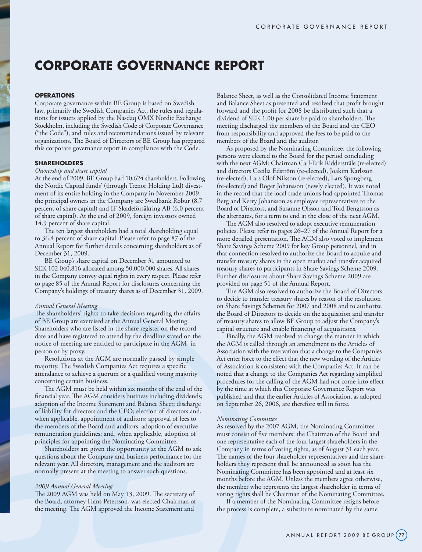# **CORPORATE GOVERNANCE REPORT**

# **OPERATIONS**

Corporate governance within BE Group is based on Swedish law, primarily the Swedish Companies Act, the rules and regulations for issuers applied by the Nasdaq OMX Nordic Exchange Stockholm, including the Swedish Code of Corporate Governance ("the Code"), and rules and recommendations issued by relevant organizations. The Board of Directors of BE Group has prepared this corporate governance report in compliance with the Code.

## **SHAREHOLDERS**

# *Ownership and share capital*

At the end of 2009, BE Group had 10,624 shareholders. Following the Nordic Capital funds' (through Trenor Holding Ltd) divestment of its entire holding in the Company in November 2009, the principal owners in the Company are Swedbank Robur (8.7 percent of share capital) and IF Skadeförsäkring AB (6.0 percent of share capital). At the end of 2009, foreign investors owned 14.9 percent of share capital.

The ten largest shareholders had a total shareholding equal to 36.4 percent of share capital. Please refer to page 87 of the Annual Report for further details concerning shareholders as of December 31, 2009.

BE Group's share capital on December 31 amounted to SEK 102,040,816 allocated among 50,000,000 shares. All shares in the Company convey equal rights in every respect. Please refer to page 85 of the Annual Report for disclosures concerning the Company's holdings of treasury shares as of December 31, 2009.

#### *Annual General Meeting*

The shareholders' rights to take decisions regarding the affairs of BE Group are exercised at the Annual General Meeting. Shareholders who are listed in the share register on the record date and have registered to attend by the deadline stated on the notice of meeting are entitled to participate in the AGM, in person or by proxy.

Resolutions at the AGM are normally passed by simple majority. The Swedish Companies Act requires a specific attendance to achieve a quorum or a qualified voting majority concerning certain business.

The AGM must be held within six months of the end of the financial year. The AGM considers business including dividends; adoption of the Income Statement and Balance Sheet; discharge of liability for directors and the CEO; election of directors and, when applicable, appointment of auditors; approval of fees to the members of the Board and auditors, adoption of executive remuneration guidelines; and, when applicable, adoption of principles for appointing the Nominating Committee.

Shareholders are given the opportunity at the AGM to ask questions about the Company and business performance for the relevant year. All directors, management and the auditors are normally present at the meeting to answer such questions.

#### *2009 Annual General Meeting*

The 2009 AGM was held on May 13, 2009. The secretary of the Board, attorney Hans Petersson, was elected Chairman of the meeting. The AGM approved the Income Statement and

Balance Sheet, as well as the Consolidated Income Statement and Balance Sheet as presented and resolved that profit brought forward and the profit for 2008 be distributed such that a dividend of SEK 1.00 per share be paid to shareholders. The meeting discharged the members of the Board and the CEO from responsibility and approved the fees to be paid to the members of the Board and the auditor.

As proposed by the Nominating Committee, the following persons were elected to the Board for the period concluding with the next AGM: Chairman Carl-Erik Ridderstråle (re-elected) and directors Cecilia Edström (re-elected), Joakim Karlsson (re-elected), Lars Olof Nilsson (re-elected), Lars Spongberg (re-elected) and Roger Johansson (newly elected). It was noted in the record that the local trade unions had appointed Thomas Berg and Kerry Johansson as employee representatives to the Board of Directors, and Susanne Olsson and Tord Bengtsson as the alternates, for a term to end at the close of the next AGM.

The AGM also resolved to adopt executive remuneration policies. Please refer to pages 26–27 of the Annual Report for a more detailed presentation. The AGM also voted to implement Share Savings Scheme 2009 for key Group personnel, and in that connection resolved to authorize the Board to acquire and transfer treasury shares in the open market and transfer acquired treasury shares to participants in Share Savings Scheme 2009. Further disclosures about Share Savings Scheme 2009 are provided on page 51 of the Annual Report.

The AGM also resolved to authorize the Board of Directors to decide to transfer treasury shares by reason of the resolution on Share Savings Schemes for 2007 and 2008 and to authorize the Board of Directors to decide on the acquisition and transfer of treasury shares to allow BE Group to adjust the Company's capital structure and enable financing of acquisitions.

Finally, the AGM resolved to change the manner in which the AGM is called through an amendment to the Articles of Association with the reservation that a change to the Companies Act enter force to the effect that the new wording of the Articles of Association is consistent with the Companies Act. It can be noted that a change to the Companies Act regarding simplified procedures for the calling of the AGM had not come into effect by the time at which this Corporate Governance Report was published and that the earlier Articles of Association, as adopted on September 26, 2006, are therefore still in force.

## *Nominating Committee*

As resolved by the 2007 AGM, the Nominating Committee must consist of five members: the Chairman of the Board and one representative each of the four largest shareholders in the Company in terms of voting rights, as of August 31 each year. The names of the four shareholder representatives and the shareholders they represent shall be announced as soon has the Nominating Committee has been appointed and at least six months before the AGM. Unless the members agree otherwise, the member who represents the largest shareholder in terms of voting rights shall be Chairman of the Nominating Committee.

If a member of the Nominating Committee resigns before the process is complete, a substitute nominated by the same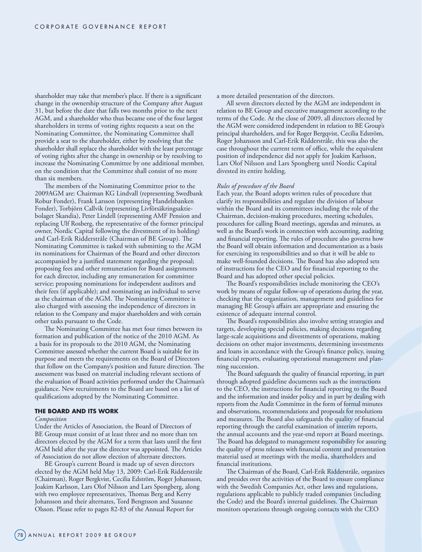shareholder may take that member's place. If there is a significant change in the ownership structure of the Company after August 31, but before the date that falls two months prior to the next AGM, and a shareholder who thus became one of the four largest shareholders in terms of voting rights requests a seat on the Nominating Committee, the Nominating Committee shall provide a seat to the shareholder, either by resolving that the shareholder shall replace the shareholder with the least percentage of voting rights after the change in ownership or by resolving to increase the Nominating Committee by one additional member, on the condition that the Committee shall consist of no more than six members.

The members of the Nominating Committee prior to the 2009AGM are: Chairman KG Lindvall (representing Swedbank Robur Fonder), Frank Larsson (representing Handelsbanken Fonder), Torbjörn Callvik (representing Livförsäkringsaktiebolaget Skandia), Peter Lindell (representing AMF Pension and replacing Ulf Rosberg, the representative of the former principal owner, Nordic Capital following the divestment of its holding) and Carl-Erik Ridderstråle (Chairman of BE Group). The Nominating Committee is tasked with submitting to the AGM its nominations for Chairman of the Board and other directors accompanied by a justified statement regarding the proposal; proposing fees and other remuneration for Board assignments for each director, including any remuneration for committee service; proposing nominations for independent auditors and their fees (if applicable); and nominating an individual to serve as the chairman of the AGM. The Nominating Committee is also charged with assessing the independence of directors in relation to the Company and major shareholders and with certain other tasks pursuant to the Code.

The Nominating Committee has met four times between its formation and publication of the notice of the 2010 AGM. As a basis for its proposals to the 2010 AGM, the Nominating Committee assessed whether the current Board is suitable for its purpose and meets the requirements on the Board of Directors that follow on the Company's position and future direction. The assessment was based on material including relevant sections of the evaluation of Board activities performed under the Chairman's guidance. New recruitments to the Board are based on a list of qualifications adopted by the Nominating Committee.

## **THE BOARD AND ITS WORK**

#### *Composition*

Under the Articles of Association, the Board of Directors of BE Group must consist of at least three and no more than ten directors elected by the AGM for a term that lasts until the first AGM held after the year the director was appointed. The Articles of Association do not allow election of alternate directors.

BE Group's current Board is made up of seven directors elected by the AGM held May 13, 2009: Carl-Erik Ridderstråle (Chairman), Roger Bergkvist, Cecilia Edström, Roger Johansson, Joakim Karlsson, Lars Olof Nilsson and Lars Spongberg, along with two employee representatives, Thomas Berg and Kerry Johansson and their alternates, Tord Bengtsson and Susanne Olsson. Please refer to pages 82-83 of the Annual Report for

a more detailed presentation of the directors.

All seven directors elected by the AGM are independent in relation to BE Group and executive management according to the terms of the Code. At the close of 2009, all directors elected by the AGM were considered independent in relation to BE Group's principal shareholders, and for Roger Bergqvist, Cecilia Edström, Roger Johansson and Carl-Erik Ridderstråle, this was also the case throughout the current term of office, while the equivalent position of independence did not apply for Joakim Karlsson, Lars Olof Nilsson and Lars Spongberg until Nordic Capital divested its entire holding.

## *Rules of procedure of the Board*

Each year, the Board adopts written rules of procedure that clarify its responsibilities and regulate the division of labour within the Board and its committees including the role of the Chairman, decision-making procedures, meeting schedules, procedures for calling Board meetings, agendas and minutes, as well as the Board's work in connection with accounting, auditing and financial reporting. The rules of procedure also governs how the Board will obtain information and documentation as a basis for exercising its responsibilities and so that it will be able to make well-founded decisions. The Board has also adopted sets of instructions for the CEO and for financial reporting to the Board and has adopted other special policies.

The Board's responsibilities include monitoring the CEO's work by means of regular follow-up of operations during the year, checking that the organization, management and guidelines for managing BE Group's affairs are appropriate and ensuring the existence of adequate internal control.

The Board's responsibilities also involve setting strategies and targets, developing special policies, making decisions regarding large-scale acquisitions and divestments of operations, making decisions on other major investments, determining investments and loans in accordance with the Group's finance policy, issuing financial reports, evaluating operational management and planning succession.

The Board safeguards the quality of financial reporting, in part through adopted guideline documents such as the instructions to the CEO, the instructions for financial reporting to the Board and the information and insider policy and in part by dealing with reports from the Audit Committee in the form of formal minutes and observations, recommendations and proposals for resolutions and measures. The Board also safeguards the quality of financial reporting through the careful examination of interim reports, the annual accounts and the year-end report at Board meetings. The Board has delegated to management responsibility for assuring the quality of press releases with financial content and presentation material used at meetings with the media, shareholders and financial institutions.

The Chairman of the Board, Carl-Erik Ridderstråle, organizes and presides over the activities of the Board to ensure compliance with the Swedish Companies Act, other laws and regulations, regulations applicable to publicly traded companies (including the Code) and the Board's internal guidelines. The Chairman monitors operations through ongoing contacts with the CEO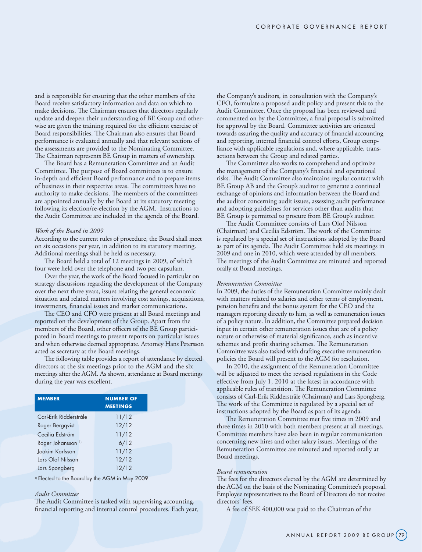and is responsible for ensuring that the other members of the Board receive satisfactory information and data on which to make decisions. The Chairman ensures that directors regularly update and deepen their understanding of BE Group and otherwise are given the training required for the efficient exercise of Board responsibilities. The Chairman also ensures that Board performance is evaluated annually and that relevant sections of the assessments are provided to the Nominating Committee. The Chairman represents BE Group in matters of ownership.

The Board has a Remuneration Committee and an Audit Committee. The purpose of Board committees is to ensure in-depth and efficient Board performance and to prepare items of business in their respective areas. The committees have no authority to make decisions. The members of the committees are appointed annually by the Board at its statutory meeting following its election/re-election by the AGM. Instructions to the Audit Committee are included in the agenda of the Board.

## *Work of the Board in 2009*

According to the current rules of procedure, the Board shall meet on six occasions per year, in addition to its statutory meeting. Additional meetings shall be held as necessary.

The Board held a total of 12 meetings in 2009, of which four were held over the telephone and two per capsulam.

Over the year, the work of the Board focused in particular on strategy discussions regarding the development of the Company over the next three years, issues relating the general economic situation and related matters involving cost savings, acquisitions, investments, financial issues and market communications.

The CEO and CFO were present at all Board meetings and reported on the development of the Group. Apart from the members of the Board, other officers of the BE Group participated in Board meetings to present reports on particular issues and when otherwise deemed appropriate. Attorney Hans Petersson acted as secretary at the Board meetings.

The following table provides a report of attendance by elected directors at the six meetings prior to the AGM and the six meetings after the AGM. As shown, attendance at Board meetings during the year was excellent.

| <b>MEMBER</b>                 | <b>NUMBER OF</b><br><b>MEETINGS</b> |
|-------------------------------|-------------------------------------|
| Carl-Erik Ridderstråle        | 11/12                               |
| Roger Bergqvist               | 12/12                               |
| Cecilia Edström               | 11/12                               |
| Roger Johansson <sup>1)</sup> | 6/12                                |
| Joakim Karlsson               | 11/12                               |
| Lars Olof Nilsson             | 12/12                               |
| Lars Spongberg                | 12/12                               |

<sup>1)</sup> Elected to the Board by the AGM in May 2009.

#### *Audit Committee*

The Audit Committee is tasked with supervising accounting, financial reporting and internal control procedures. Each year, the Company's auditors, in consultation with the Company's CFO, formulate a proposed audit policy and present this to the Audit Committee. Once the proposal has been reviewed and commented on by the Committee, a final proposal is submitted for approval by the Board. Committee activities are oriented towards assuring the quality and accuracy of financial accounting and reporting, internal financial control efforts, Group compliance with applicable regulations and, where applicable, transactions between the Group and related parties.

The Committee also works to comprehend and optimize the management of the Company's financial and operational risks. The Audit Committee also maintains regular contact with BE Group AB and the Group's auditor to generate a continual exchange of opinions and information between the Board and the auditor concerning audit issues, assessing audit performance and adopting guidelines for services other than audits that BE Group is permitted to procure from BE Group's auditor.

The Audit Committee consists of Lars Olof Nilsson (Chairman) and Cecilia Edström. The work of the Committee is regulated by a special set of instructions adopted by the Board as part of its agenda. The Audit Committee held six meetings in 2009 and one in 2010, which were attended by all members. The meetings of the Audit Committee are minuted and reported orally at Board meetings.

## *Remuneration Committee*

In 2009, the duties of the Remuneration Committee mainly dealt with matters related to salaries and other terms of employment, pension benefits and the bonus system for the CEO and the managers reporting directly to him, as well as remuneration issues of a policy nature. In addition, the Committee prepared decision input in certain other remuneration issues that are of a policy nature or otherwise of material significance, such as incentive schemes and profit sharing schemes. The Remuneration Committee was also tasked with drafting executive remuneration policies the Board will present to the AGM for resolution.

In 2010, the assignment of the Remuneration Committee will be adjusted to meet the revised regulations in the Code effective from July 1, 2010 at the latest in accordance with applicable rules of transition. The Remuneration Committee consists of Carl-Erik Ridderstråle (Chairman) and Lars Spongberg. The work of the Committee is regulated by a special set of instructions adopted by the Board as part of its agenda.

The Remuneration Committee met five times in 2009 and three times in 2010 with both members present at all meetings. Committee members have also been in regular communication concerning new hires and other salary issues. Meetings of the Remuneration Committee are minuted and reported orally at Board meetings.

# *Board remuneration*

The fees for the directors elected by the AGM are determined by the AGM on the basis of the Nominating Committee's proposal. Employee representatives to the Board of Directors do not receive directors' fees.

A fee of SEK 400,000 was paid to the Chairman of the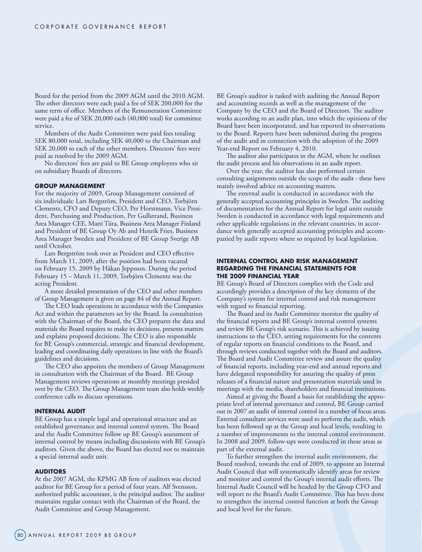Board for the period from the 2009 AGM until the 2010 AGM. The other directors were each paid a fee of SEK 200,000 for the same term of office. Members of the Remuneration Committee were paid a fee of SEK 20,000 each (40,000 total) for committee service.

Members of the Audit Committee were paid fees totaling SEK 80,000 total, including SEK 40,000 to the Chairman and SEK 20,000 to each of the other members. Directors' fees were paid as resolved by the 2009 AGM.

No directors' fees are paid to BE Group employees who sit on subsidiary Boards of directors.

## **GROUP MANAGEMENT**

For the majority of 2009, Group Management consisted of six individuals: Lars Bergström, President and CEO, Torbjörn Clementz, CFO and Deputy CEO, Per Horstmann, Vice President, Purchasing and Production, Per Gullstrand, Business Area Manager CEE, Matti Tiira, Business Area Manager Finland and President of BE Group Oy Ab and Henrik Fries, Business Area Manager Sweden and President of BE Group Sverige AB until October.

Lars Bergström took over as President and CEO effective from March 11, 2009, after the position had been vacated on February 15, 2009 by Håkan Jeppsson. During the period February 15 – March 11, 2009, Torbjörn Clementz was the acting President.

A more detailed presentation of the CEO and other members of Group Management is given on page 84 of the Annual Report.

The CEO leads operations in accordance with the Companies Act and within the parameters set by the Board. In consultation with the Chairman of the Board, the CEO prepares the data and materials the Board requires to make its decisions, presents matters and explains proposed decisions. The CEO is also responsible for BE Group's commercial, strategic and financial development, leading and coordinating daily operations in line with the Board's guidelines and decisions.

The CEO also appoints the members of Group Management in consultation with the Chairman of the Board. BE Group Management reviews operations at monthly meetings presided over by the CEO. The Group Management team also holds weekly conference calls to discuss operations.

## **INTERNAL AUDIT**

BE Group has a simple legal and operational structure and an established governance and internal control system. The Board and the Audit Committee follow up BE Group's assessment of internal control by means including discussions with BE Group's auditors. Given the above, the Board has elected not to maintain a special internal audit unit.

#### **AUDITORS**

At the 2007 AGM, the KPMG AB firm of auditors was elected auditor for BE Group for a period of four years. Alf Svensson, authorized public accountant, is the principal auditor. The auditor maintains regular contact with the Chairman of the Board, the Audit Committee and Group Management.

BE Group's auditor is tasked with auditing the Annual Report and accounting records as well as the management of the Company by the CEO and the Board of Directors. The auditor works according to an audit plan, into which the opinions of the Board have been incorporated, and has reported its observations to the Board. Reports have been submitted during the progress of the audit and in connection with the adoption of the 2009 Year-end Report on February 4, 2010.

The auditor also participates in the AGM, where he outlines the audit process and his observations in an audit report.

Over the year, the auditor has also performed certain consulting assignments outside the scope of the audit - these have mainly involved advice on accounting matters.

The external audit is conducted in accordance with the generally accepted accounting principles in Sweden. The auditing of documentation for the Annual Report for legal units outside Sweden is conducted in accordance with legal requirements and other applicable regulations in the relevant countries, in accordance with generally accepted accounting principles and accompanied by audit reports where so required by local legislation.

# **INTERNAL CONTROL AND RISK MANAGEMENT REGARDING THE FINANCIAL STATEMENTS FOR THE 2009 FINANCIAL YEAR**

BE Group's Board of Directors complies with the Code and accordingly provides a description of the key elements of the Company's system for internal control and risk management with regard to financial reporting.

The Board and its Audit Committee monitor the quality of the financial reports and BE Group's internal control systems and review BE Group's risk scenario. This is achieved by issuing instructions to the CEO, setting requirements for the contents of regular reports on financial conditions to the Board, and through reviews conducted together with the Board and auditors. The Board and Audit Committee review and assure the quality of financial reports, including year-end and annual reports and have delegated responsibility for assuring the quality of press releases of a financial nature and presentation materials used in meetings with the media, shareholders and financial institutions.

Aimed at giving the Board a basis for establishing the appropriate level of internal governance and control, BE Group carried out in 2007 an audit of internal control in a number of focus areas. External consultant services were used to perform the audit, which has been followed up at the Group and local levels, resulting in a number of improvements to the internal control environment. In 2008 and 2009, follow-ups were conducted in these areas as part of the external audit.

To further strengthen the internal audit environment, the Board resolved, towards the end of 2009, to appoint an Internal Audit Council that will systematically identify areas for review and monitor and control the Group's internal audit efforts. The Internal Audit Council will be headed by the Group CFO and will report to the Board's Audit Committee. This has been done to strengthen the internal control function at both the Group and local level for the future.